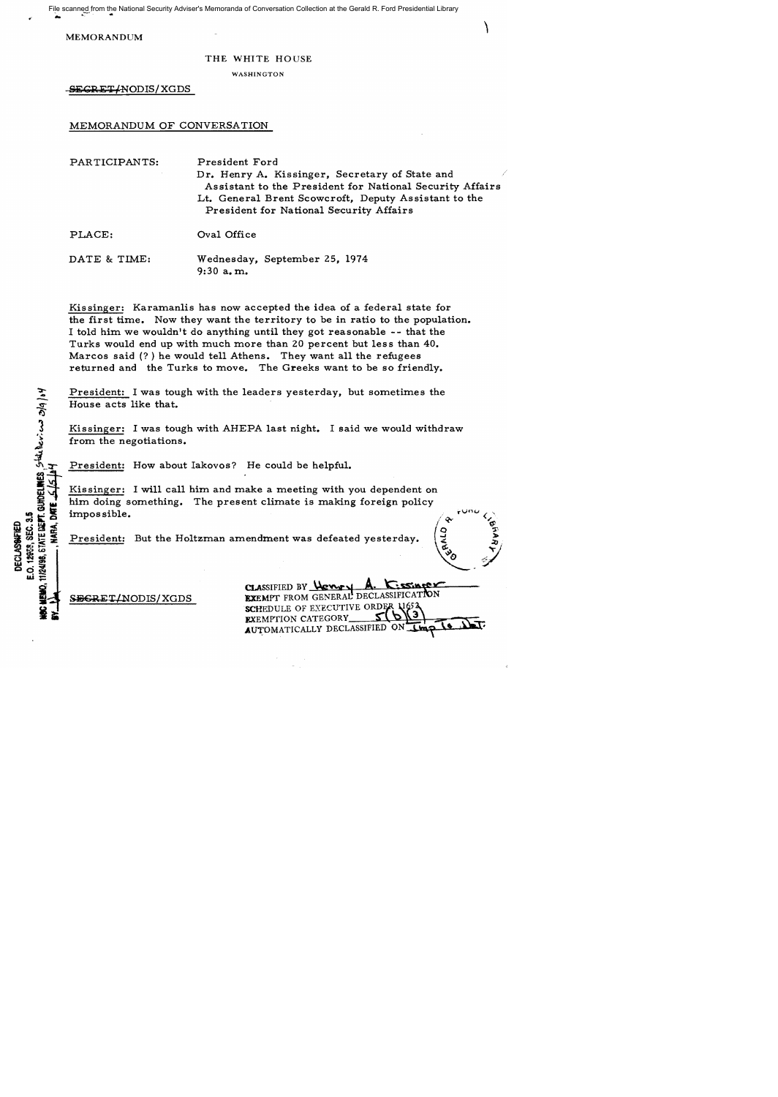File scanned from the National Security Adviser's Memoranda of Conversation Collection at the Gerald R. Ford Presidential Library ...

MEMORANDUM

## THE WHITE HOUSE

WASHINGTON

SEGRET/NODIS/XGDS

MEMORANDUM OF CONVERSATION

| PARTICIPANTS: | President Ford<br>Dr. Henry A. Kissinger, Secretary of State and<br>Assistant to the President for National Security Affairs<br>Lt. General Brent Scowcroft, Deputy Assistant to the<br>President for National Security Affairs |
|---------------|---------------------------------------------------------------------------------------------------------------------------------------------------------------------------------------------------------------------------------|
| PLACE:        | Oval Office                                                                                                                                                                                                                     |
| DATE & TIME:  | Wednesday, September 25, 1974                                                                                                                                                                                                   |

9:30 a. m.

Kissinger: Karamanlis has now accepted the idea of a federal state for the first time. Now they want the territory to be in ratio to the population. I told him we wouldn't do anything until they got reasonable -- that the Turks would end up with much more than 20 percent but less than 40. Marcos said (? ) he would tell Athens. They want all the refugees returned and the Turks to move. The Greeks want to be so friendly.

President: I was tough with the leaders yesterday, but sometimes the House acts like that.

Kissinger: I was tough with AHEPA last night. I said we would withdraw from the negotiations.

President: How about Iakovos? He could be helpful.

Kissinger: I will call him and make a meeting with you dependent on him doing something. The present climate is making foreign policy impos sible.

President: But the Holtzman amendment was defeated yesterday.

SEGRET/NODIS/XGDS

11/24/98, STATE DEFT. GUIDELINES, STAR DEVICAS 3/9/04

E.O. 12958, SEC. 3.5 **DECLASSWEET** 

CLASSIFIED BY **WEXT A. C.SSIMPT**<br>**EXEMPT** FROM GENERAL DECLASSIFICATION SCHEDULE OF EXECUTIVE ORDER **EXEMPTION CATEGORY** AUTOMATICALLY DECLASSIFIED ON TIM

**QTY**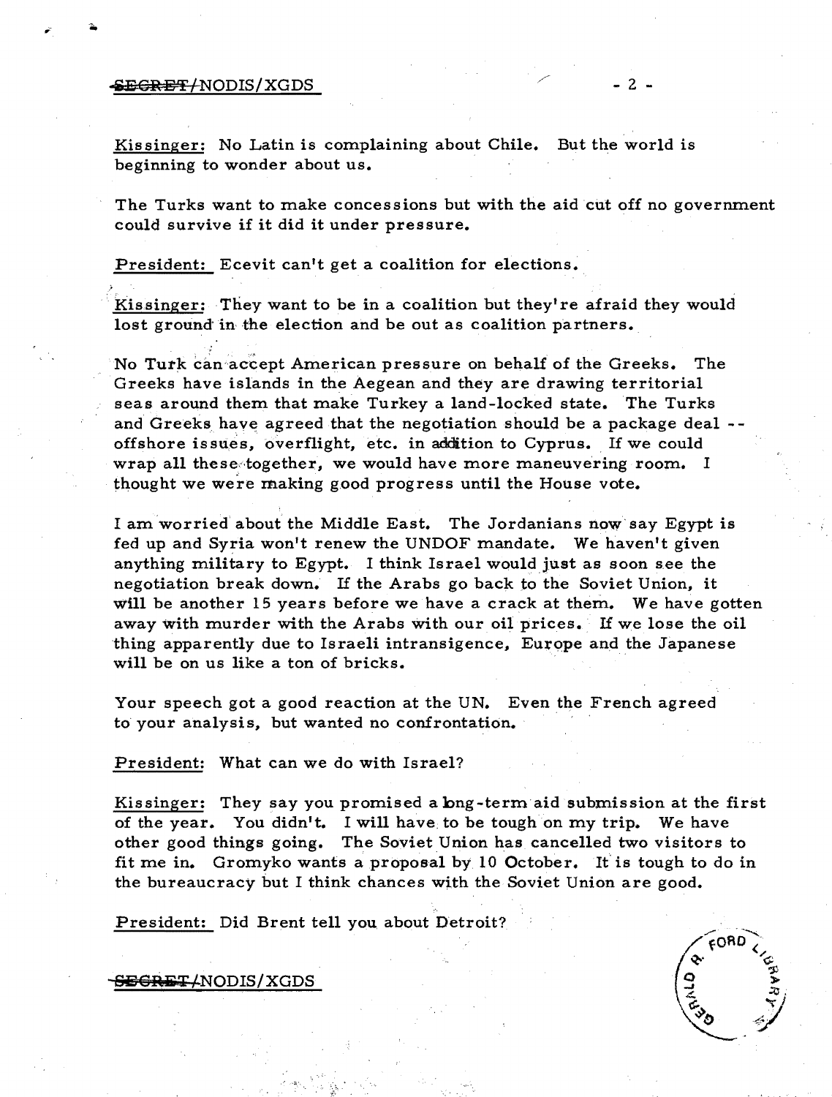## $\overline{\text{SEGREff}}$ /NODIS/XGDS  $-2$  -

Kissinger: No Latin is complaining about Chile. But the world is beginning to wonder about us.

The Turks want to make concessions but with the aid cut off no government could survive if it did it under pressure.

President: Ecevit can't get a coalition for elections.

Kissinger: They want to be in a coalition but they're afraid they would lost ground in the election and be out as coalition partners.

No Turk can accept American pressure on behalf of the Greeks. The Greeks have islands in the Aegean and they are drawing territorial seas around them that make Turkey a land-locked state. The Turks and Greeks have agreed that the negotiation should be a package deal -offshore issues, overflight, etc. in addition to Cyprus. If we could wrap all these together, we would have more maneuvering room. I thought we were making good progress until the House vote.

I am worried about the Middle East. The Jordanians now say Egypt is fed up and Syria won't renew the UNDOF mandate. We haven't given anything military to Egypt. I think Israel would just as soon see the negotiation break down. If the Arabs go back to the Soviet Union, it will be another 15 years before we have a crack at them. We have gotten away with murder with the Arabs with our oil prices. If we lose the oil thing apparently due to Israeli intransigence, Europe and the Japanese will be on us like a ton of bricks.

Your speech got a good reaction at the UN. Even the French agreed to your analysis, but wanted no confrontation.

President: What can we do with Israel?

Kissinger: They say you promised a long-term aid submission at the first of the year. You didn't. I will have. to be tough on my trip. We have other good things going. The Soviet Union has cancelled two visitors to fit me in. Gromyko wants a proposal by 10 October. If is tough to do in the bureaucracy but I think chances wtth the Soviet Union are good.

President: Did Brent tell you about Detroit?

SEGRET/NODIS/XGDS

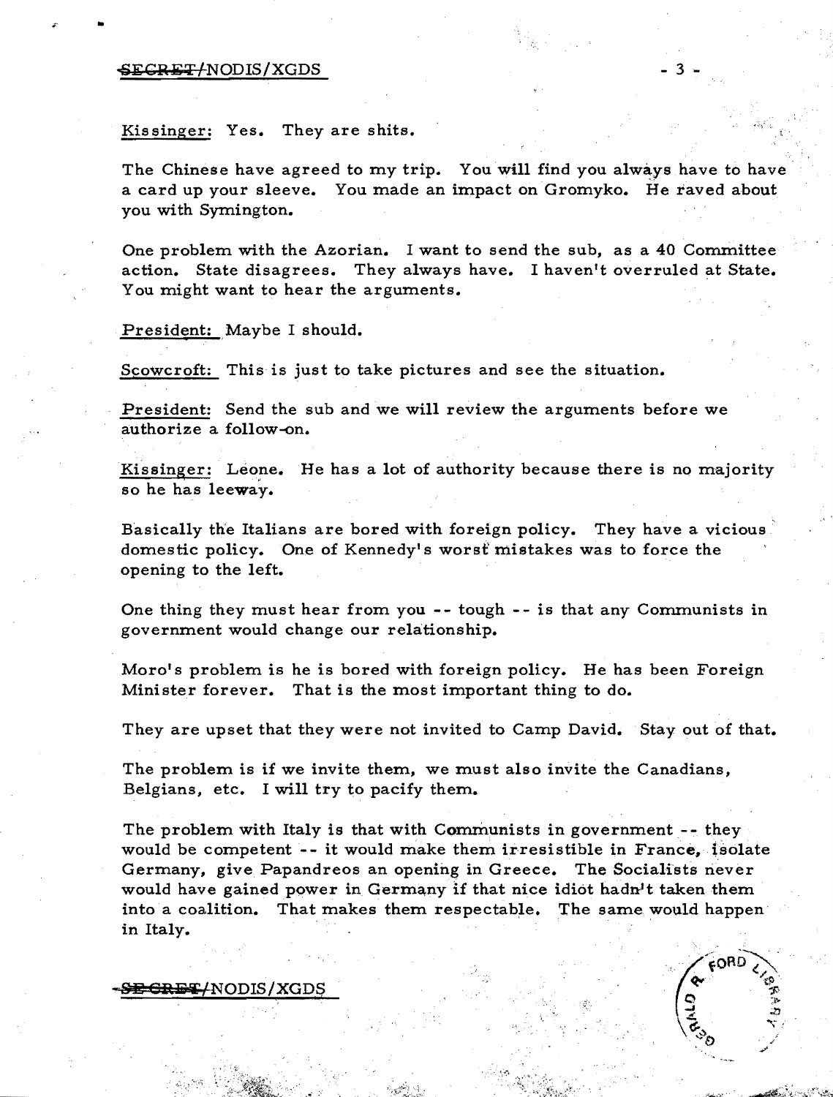## $-3$

Kissinger: Yes. They are shits.

The Chinese have agreed to my trip. You will find you always have to have a card up your sleeve. You made an impact on Gromyko. He raved about you with Symington.

One problem with the Azorian. I want to send the sub, as a 40 Committee action. State disagrees. They always have. I haven't overruled at State. You might want to hear the arguments.

President: Maybe I should.

Scowcroft: This is just to take pictures and see the situation.

President: Send the sub and we will review the arguments before we authorize a follow-on.

Kissinger: Leone. He has a lot of authority because there is no majority so he has leeway.

Basically the Italians are bored with foreign policy. They have a vicious domestic policy. One of Kennedy's worst mistakes was to force the opening to the left.

One thing they must hear from you -- tough -- is that any Communists in government would change our relationship.

Moro's problem is he is bored with foreign policy. He has been Foreign Minister forever. That is the most important thing to do.

They are upset that they were not invited to Camp David. Stay out of that.

The problem is if we invite them, we must also invite the Canadians, Belgians, etc. I will try to pacify them.

The problem with Italy is that with Communists in government-- they would be competent  $-$ - it would make them irresistible in France, isolate Germany, give Papandreos an opening in Greece. The Socialists never would have gained power in Germany if that nice idiot hadn't taken them into a coalition. That makes them respectable. The same would happen in Italy.

<del>- SE CRET/</del>NODIS/XGDS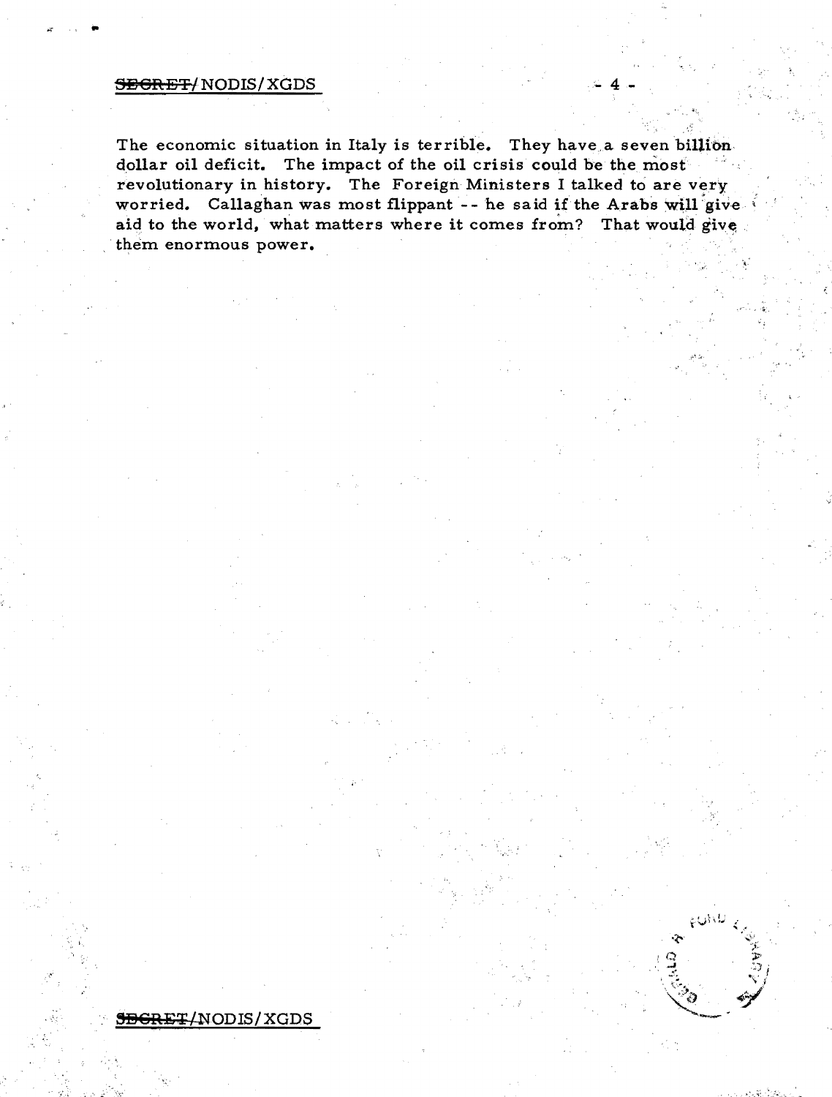## SEGRET/ NODIS/ XGDS

•

The economic situation in Italy is terrible. They have a seven billion dollar oil deficit. The impact of the oil crisis could be the most revolutionary in history. The Foreign Ministers I talked to are very worried. Callaghan was most flippant -- he said if the Arabs will give. aid to the world, what matters where it comes from? That would give. . them enormous power.

, .~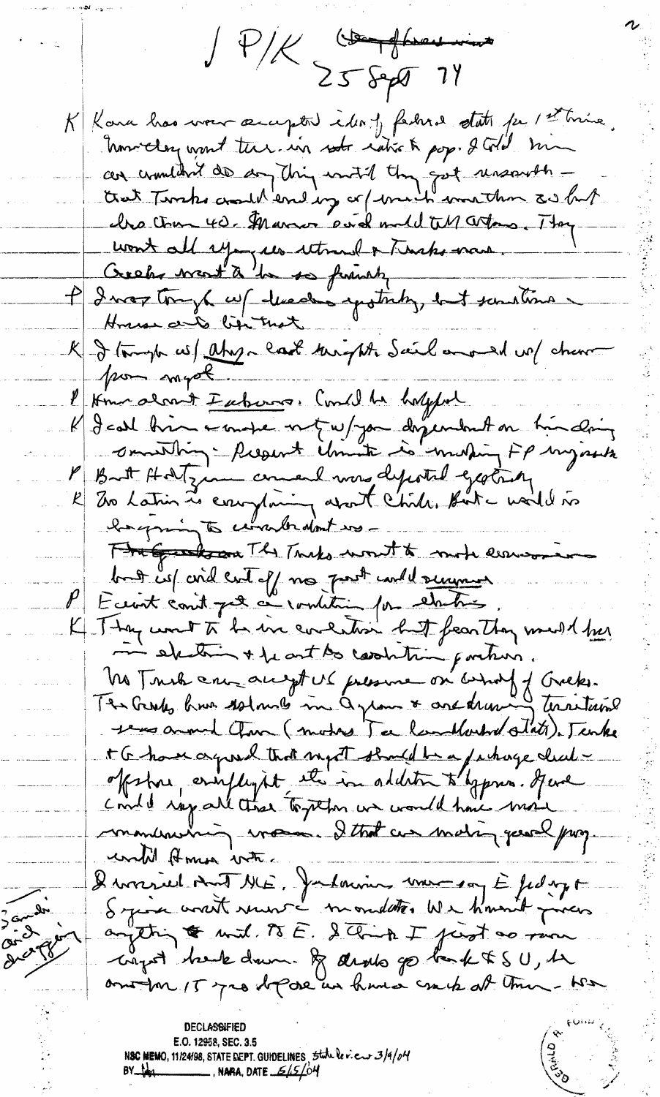JP/K St Sept 74 K Kara has ver occupted identy factural state per 1st time. howeley want there in not ratio & pop. I Gold man cer crowdent de son this with the set unserent cha tour 40. Marcor evidende till artons. They wont all ryages utmed a Tencho man P I was tonyt up heading entiting, but sometime House and lightnot K - I tompte ces / ahoye last therefore Sail and de / cheren por myot l'Immalant Euborne. Could be happed K I call bien a mape met ne par despendent on time daing l' But Hotzin comend mon depotal gestat par Frigadson The Turks won't to mote errosin bat is coid cut off no post could summer. Eccrit conit pet ce rombition pour els tres. K Thay won't to be in concention but fearthy must be in electric + be out too coordition porchain. No Trus au augst un pressure on assured f Greeks. The Grodes knows solomones in a grown & and drawing territories years around them (mothers ) a landlouted state). Tanke t G have agreed that myst should be a funage clear offshoe, employed it in addition to bypres. Here contel ray all these together we would have more monument in was I that we making peach page until Homos with Devonvier mot ME, Jalanning une son E fedage System worth verent - mondates We haven't proces anytting to with TSE. Stank I just as run cryst hele down & deals go bank \$ SU, he another 15 yrs depose un have crack at them-was E.O. 12958, SEC. 3.5

N**SC MEMO**, 11/24/98, STATE <u>DEPT. GUIDELINES, 5tute le v.e. 3/9/04</u><br>BY <del>1481</del>

3 and de

 $C_{\text{ref}}$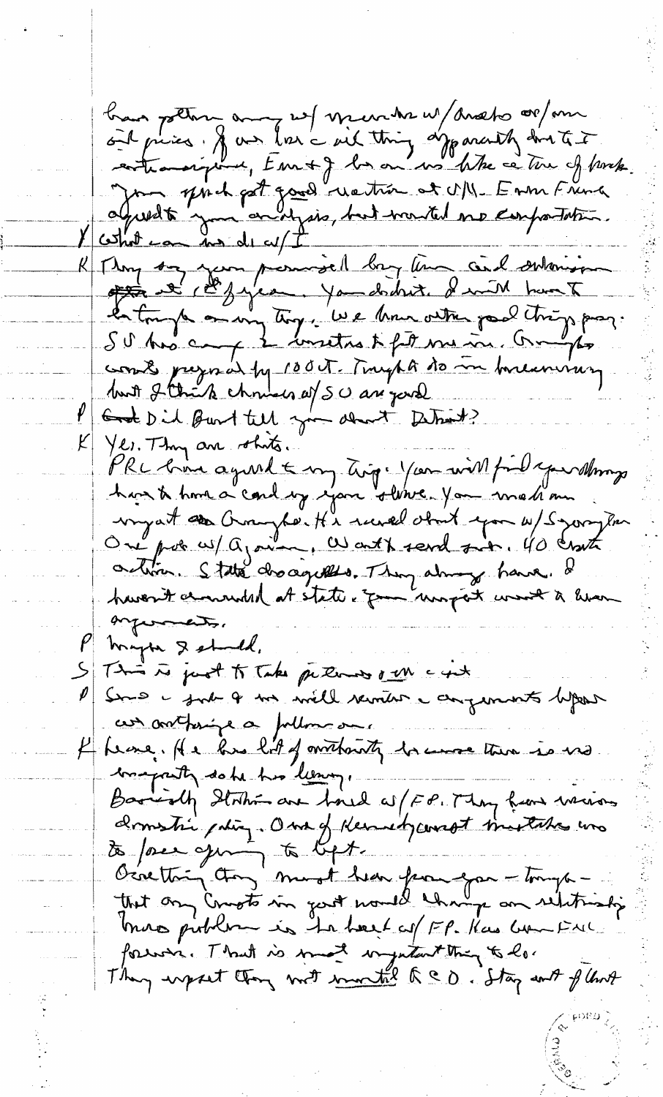bran pottern aux not mente ut andre 00 mm Jon print part good rection et UN. En m France R Mong son présentait les tempes container work pregnal by 100 T. Trught to in breaming but 2 think chruses af SU are jurel P God Did Burt tell you don't Dehat? K Yes. They are others. PRC bina agreed & my tig. You will fil your stimp ordin. State dro aguillo. They always have. If haven't charmed at state of the work work a liven enformats. mapper & should, S This is just to Take peterns our cast Sure i just le me mille vernier i augumnet depos an orthonored follows one f france. He has lit of mithanity however there is no comparty date his leavy.<br>Barriolly Station are foul as (FP. May have wearing domestic pating. One of Hermedycompt mustake was to force qui to lift.<br>Occatting they must been from you - tough mos publica is to best of EP. Kas won Ful. forwar. That is most injutant thing to los They upset they not <u>monthled a co</u>. Stay and flews